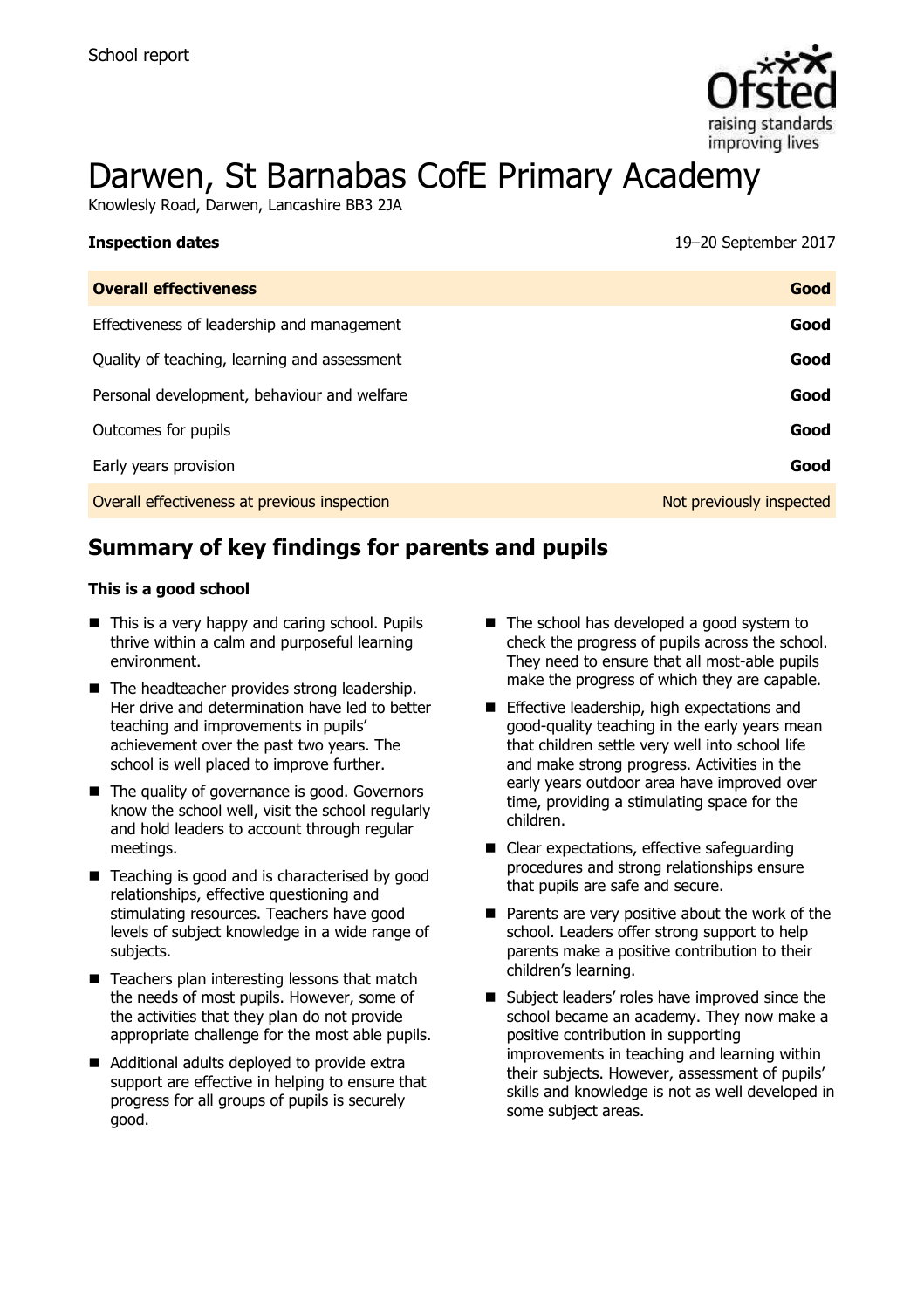

# Darwen, St Barnabas CofE Primary Academy

Knowlesly Road, Darwen, Lancashire BB3 2JA

| 19-20 September 2017 |
|----------------------|
|                      |

| <b>Overall effectiveness</b>                 | Good                     |
|----------------------------------------------|--------------------------|
| Effectiveness of leadership and management   | Good                     |
| Quality of teaching, learning and assessment | Good                     |
| Personal development, behaviour and welfare  | Good                     |
| Outcomes for pupils                          | Good                     |
| Early years provision                        | Good                     |
| Overall effectiveness at previous inspection | Not previously inspected |

# **Summary of key findings for parents and pupils**

#### **This is a good school**

- This is a very happy and caring school. Pupils thrive within a calm and purposeful learning environment.
- The headteacher provides strong leadership. Her drive and determination have led to better teaching and improvements in pupils' achievement over the past two years. The school is well placed to improve further.
- The quality of governance is good. Governors know the school well, visit the school regularly and hold leaders to account through regular meetings.
- $\blacksquare$  Teaching is good and is characterised by good relationships, effective questioning and stimulating resources. Teachers have good levels of subject knowledge in a wide range of subjects.
- $\blacksquare$  Teachers plan interesting lessons that match the needs of most pupils. However, some of the activities that they plan do not provide appropriate challenge for the most able pupils.
- Additional adults deployed to provide extra support are effective in helping to ensure that progress for all groups of pupils is securely good.
- The school has developed a good system to check the progress of pupils across the school. They need to ensure that all most-able pupils make the progress of which they are capable.
- **Effective leadership, high expectations and** good-quality teaching in the early years mean that children settle very well into school life and make strong progress. Activities in the early years outdoor area have improved over time, providing a stimulating space for the children.
- Clear expectations, effective safeguarding procedures and strong relationships ensure that pupils are safe and secure.
- $\blacksquare$  Parents are very positive about the work of the school. Leaders offer strong support to help parents make a positive contribution to their children's learning.
- Subject leaders' roles have improved since the school became an academy. They now make a positive contribution in supporting improvements in teaching and learning within their subjects. However, assessment of pupils' skills and knowledge is not as well developed in some subject areas.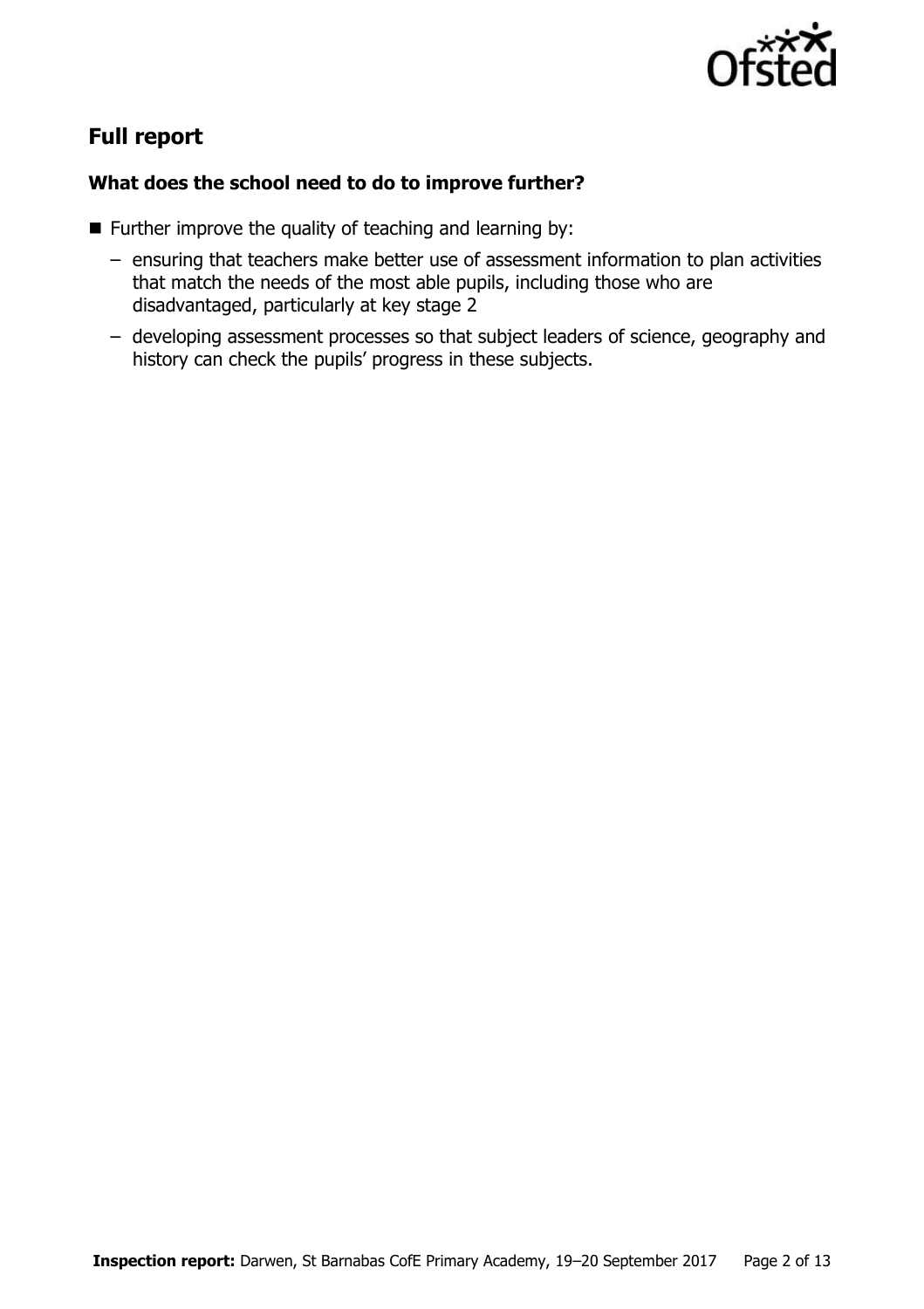

# **Full report**

#### **What does the school need to do to improve further?**

- **Further improve the quality of teaching and learning by:** 
	- ensuring that teachers make better use of assessment information to plan activities that match the needs of the most able pupils, including those who are disadvantaged, particularly at key stage 2
	- developing assessment processes so that subject leaders of science, geography and history can check the pupils' progress in these subjects.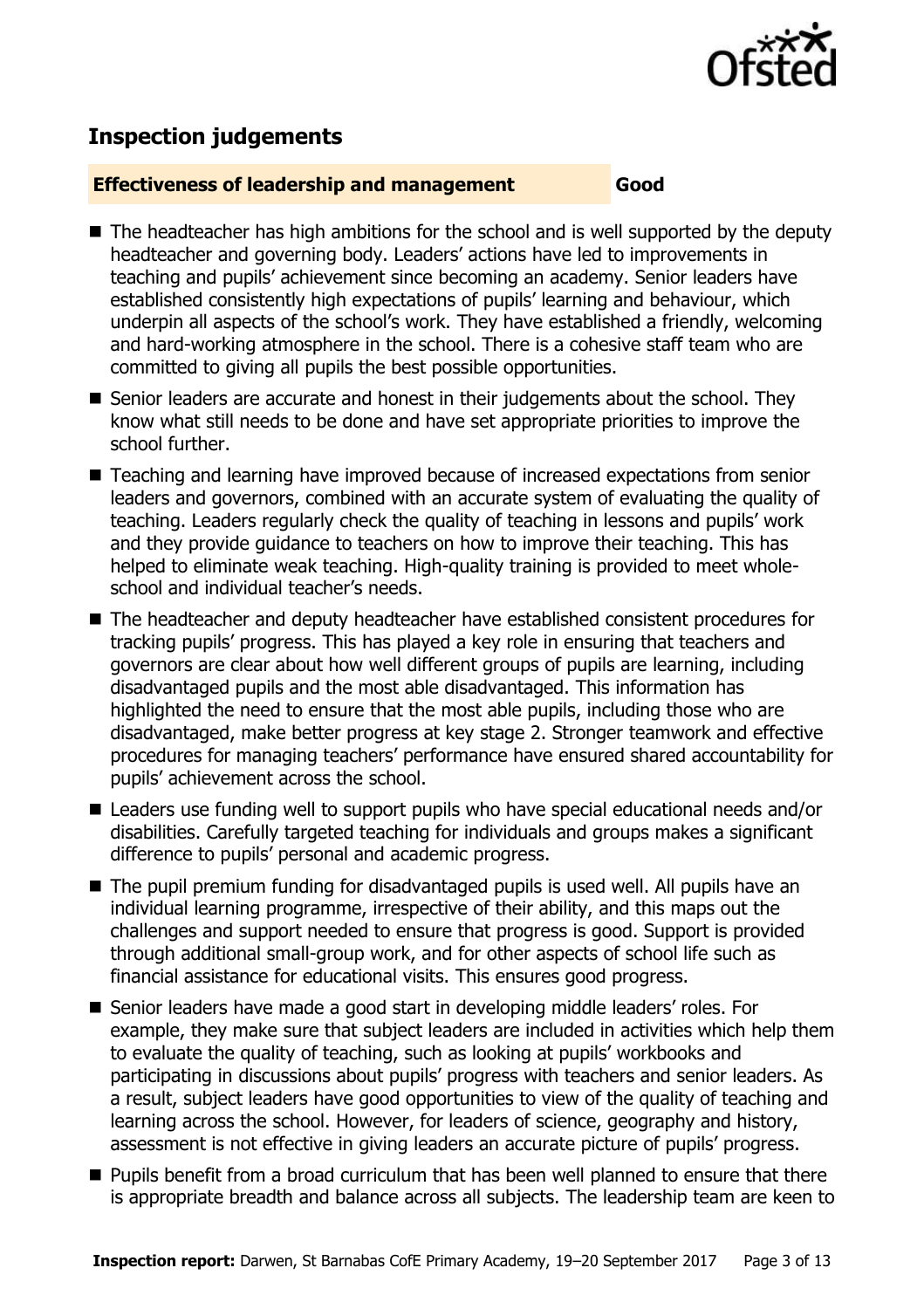

# **Inspection judgements**

#### **Effectiveness of leadership and management Good**

- The headteacher has high ambitions for the school and is well supported by the deputy headteacher and governing body. Leaders' actions have led to improvements in teaching and pupils' achievement since becoming an academy. Senior leaders have established consistently high expectations of pupils' learning and behaviour, which underpin all aspects of the school's work. They have established a friendly, welcoming and hard-working atmosphere in the school. There is a cohesive staff team who are committed to giving all pupils the best possible opportunities.
- Senior leaders are accurate and honest in their judgements about the school. They know what still needs to be done and have set appropriate priorities to improve the school further.
- Teaching and learning have improved because of increased expectations from senior leaders and governors, combined with an accurate system of evaluating the quality of teaching. Leaders regularly check the quality of teaching in lessons and pupils' work and they provide guidance to teachers on how to improve their teaching. This has helped to eliminate weak teaching. High-quality training is provided to meet wholeschool and individual teacher's needs.
- The headteacher and deputy headteacher have established consistent procedures for tracking pupils' progress. This has played a key role in ensuring that teachers and governors are clear about how well different groups of pupils are learning, including disadvantaged pupils and the most able disadvantaged. This information has highlighted the need to ensure that the most able pupils, including those who are disadvantaged, make better progress at key stage 2. Stronger teamwork and effective procedures for managing teachers' performance have ensured shared accountability for pupils' achievement across the school.
- Leaders use funding well to support pupils who have special educational needs and/or disabilities. Carefully targeted teaching for individuals and groups makes a significant difference to pupils' personal and academic progress.
- The pupil premium funding for disadvantaged pupils is used well. All pupils have an individual learning programme, irrespective of their ability, and this maps out the challenges and support needed to ensure that progress is good. Support is provided through additional small-group work, and for other aspects of school life such as financial assistance for educational visits. This ensures good progress.
- Senior leaders have made a good start in developing middle leaders' roles. For example, they make sure that subject leaders are included in activities which help them to evaluate the quality of teaching, such as looking at pupils' workbooks and participating in discussions about pupils' progress with teachers and senior leaders. As a result, subject leaders have good opportunities to view of the quality of teaching and learning across the school. However, for leaders of science, geography and history, assessment is not effective in giving leaders an accurate picture of pupils' progress.
- **Pupils benefit from a broad curriculum that has been well planned to ensure that there** is appropriate breadth and balance across all subjects. The leadership team are keen to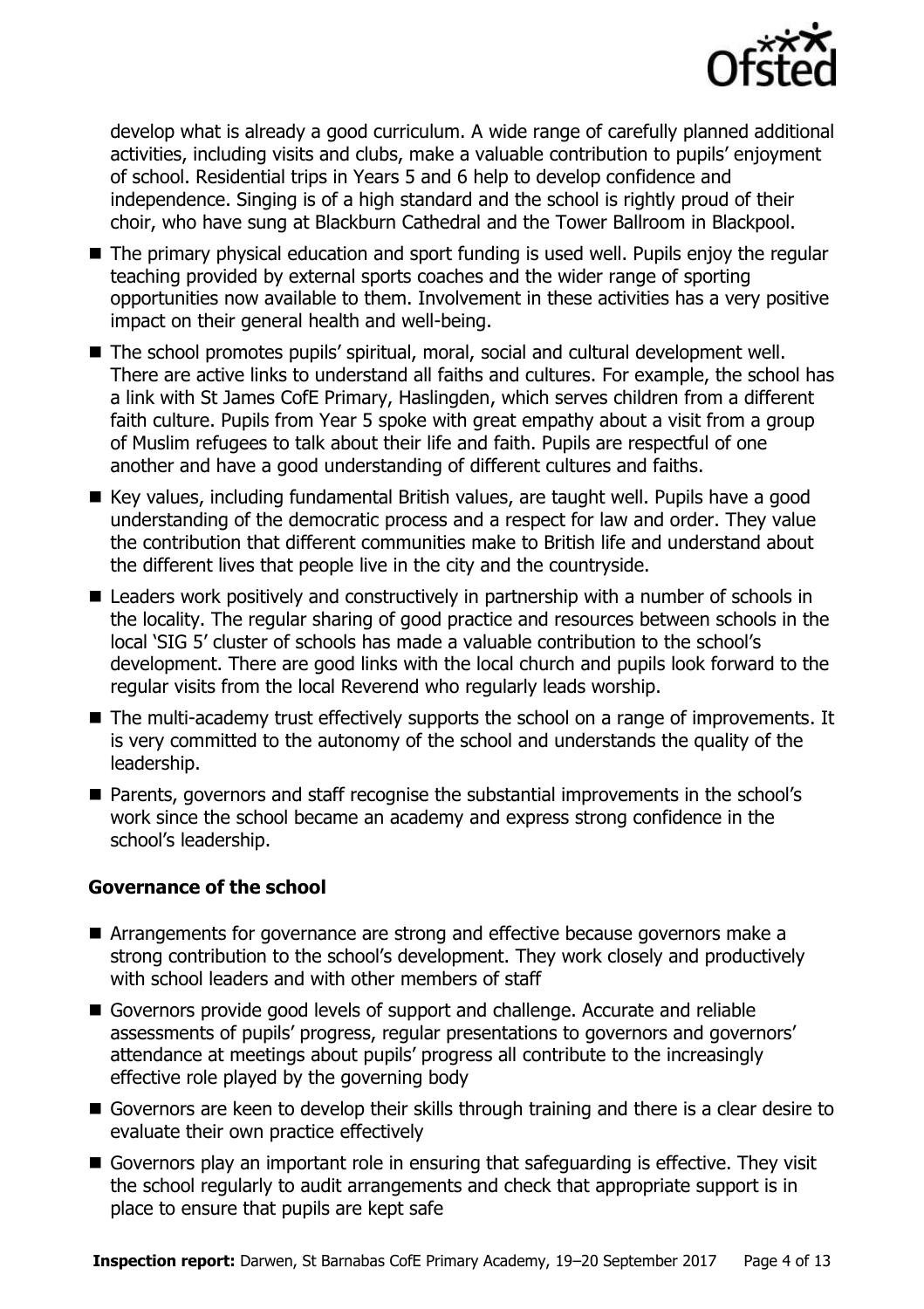

develop what is already a good curriculum. A wide range of carefully planned additional activities, including visits and clubs, make a valuable contribution to pupils' enjoyment of school. Residential trips in Years 5 and 6 help to develop confidence and independence. Singing is of a high standard and the school is rightly proud of their choir, who have sung at Blackburn Cathedral and the Tower Ballroom in Blackpool.

- The primary physical education and sport funding is used well. Pupils enjoy the regular teaching provided by external sports coaches and the wider range of sporting opportunities now available to them. Involvement in these activities has a very positive impact on their general health and well-being.
- The school promotes pupils' spiritual, moral, social and cultural development well. There are active links to understand all faiths and cultures. For example, the school has a link with St James CofE Primary, Haslingden, which serves children from a different faith culture. Pupils from Year 5 spoke with great empathy about a visit from a group of Muslim refugees to talk about their life and faith. Pupils are respectful of one another and have a good understanding of different cultures and faiths.
- Key values, including fundamental British values, are taught well. Pupils have a good understanding of the democratic process and a respect for law and order. They value the contribution that different communities make to British life and understand about the different lives that people live in the city and the countryside.
- Leaders work positively and constructively in partnership with a number of schools in the locality. The regular sharing of good practice and resources between schools in the local 'SIG 5' cluster of schools has made a valuable contribution to the school's development. There are good links with the local church and pupils look forward to the regular visits from the local Reverend who regularly leads worship.
- The multi-academy trust effectively supports the school on a range of improvements. It is very committed to the autonomy of the school and understands the quality of the leadership.
- Parents, governors and staff recognise the substantial improvements in the school's work since the school became an academy and express strong confidence in the school's leadership.

### **Governance of the school**

- Arrangements for governance are strong and effective because governors make a strong contribution to the school's development. They work closely and productively with school leaders and with other members of staff
- Governors provide good levels of support and challenge. Accurate and reliable assessments of pupils' progress, regular presentations to governors and governors' attendance at meetings about pupils' progress all contribute to the increasingly effective role played by the governing body
- Governors are keen to develop their skills through training and there is a clear desire to evaluate their own practice effectively
- Governors play an important role in ensuring that safeguarding is effective. They visit the school regularly to audit arrangements and check that appropriate support is in place to ensure that pupils are kept safe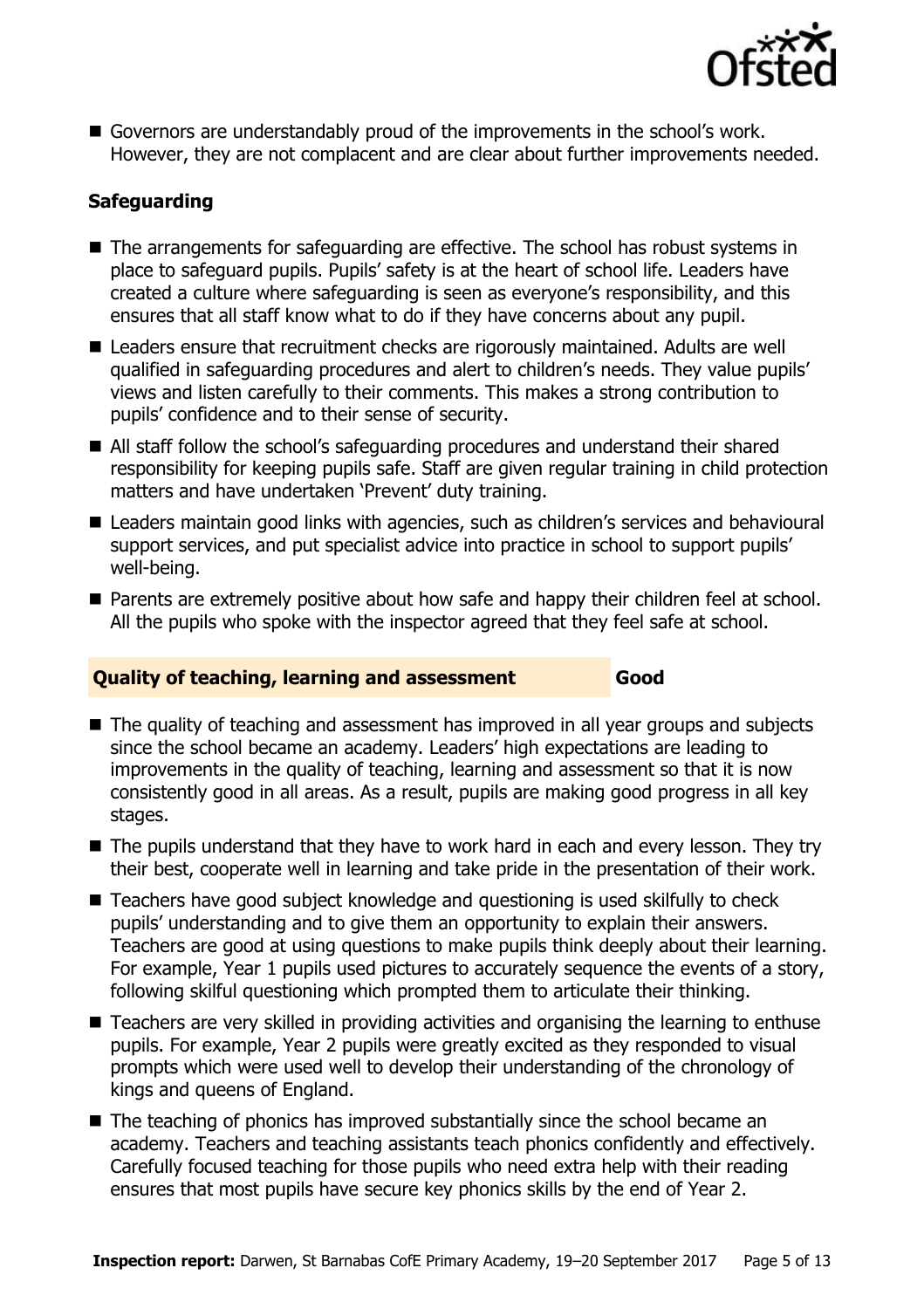

Governors are understandably proud of the improvements in the school's work. However, they are not complacent and are clear about further improvements needed.

### **Safeguarding**

- The arrangements for safeguarding are effective. The school has robust systems in place to safeguard pupils. Pupils' safety is at the heart of school life. Leaders have created a culture where safeguarding is seen as everyone's responsibility, and this ensures that all staff know what to do if they have concerns about any pupil.
- Leaders ensure that recruitment checks are rigorously maintained. Adults are well qualified in safeguarding procedures and alert to children's needs. They value pupils' views and listen carefully to their comments. This makes a strong contribution to pupils' confidence and to their sense of security.
- All staff follow the school's safeguarding procedures and understand their shared responsibility for keeping pupils safe. Staff are given regular training in child protection matters and have undertaken 'Prevent' duty training.
- Leaders maintain good links with agencies, such as children's services and behavioural support services, and put specialist advice into practice in school to support pupils' well-being.
- **Parents are extremely positive about how safe and happy their children feel at school.** All the pupils who spoke with the inspector agreed that they feel safe at school.

#### **Quality of teaching, learning and assessment Good**

- The quality of teaching and assessment has improved in all year groups and subjects since the school became an academy. Leaders' high expectations are leading to improvements in the quality of teaching, learning and assessment so that it is now consistently good in all areas. As a result, pupils are making good progress in all key stages.
- The pupils understand that they have to work hard in each and every lesson. They try their best, cooperate well in learning and take pride in the presentation of their work.
- Teachers have good subject knowledge and questioning is used skilfully to check pupils' understanding and to give them an opportunity to explain their answers. Teachers are good at using questions to make pupils think deeply about their learning. For example, Year 1 pupils used pictures to accurately sequence the events of a story, following skilful questioning which prompted them to articulate their thinking.
- Teachers are very skilled in providing activities and organising the learning to enthuse pupils. For example, Year 2 pupils were greatly excited as they responded to visual prompts which were used well to develop their understanding of the chronology of kings and queens of England.
- The teaching of phonics has improved substantially since the school became an academy. Teachers and teaching assistants teach phonics confidently and effectively. Carefully focused teaching for those pupils who need extra help with their reading ensures that most pupils have secure key phonics skills by the end of Year 2.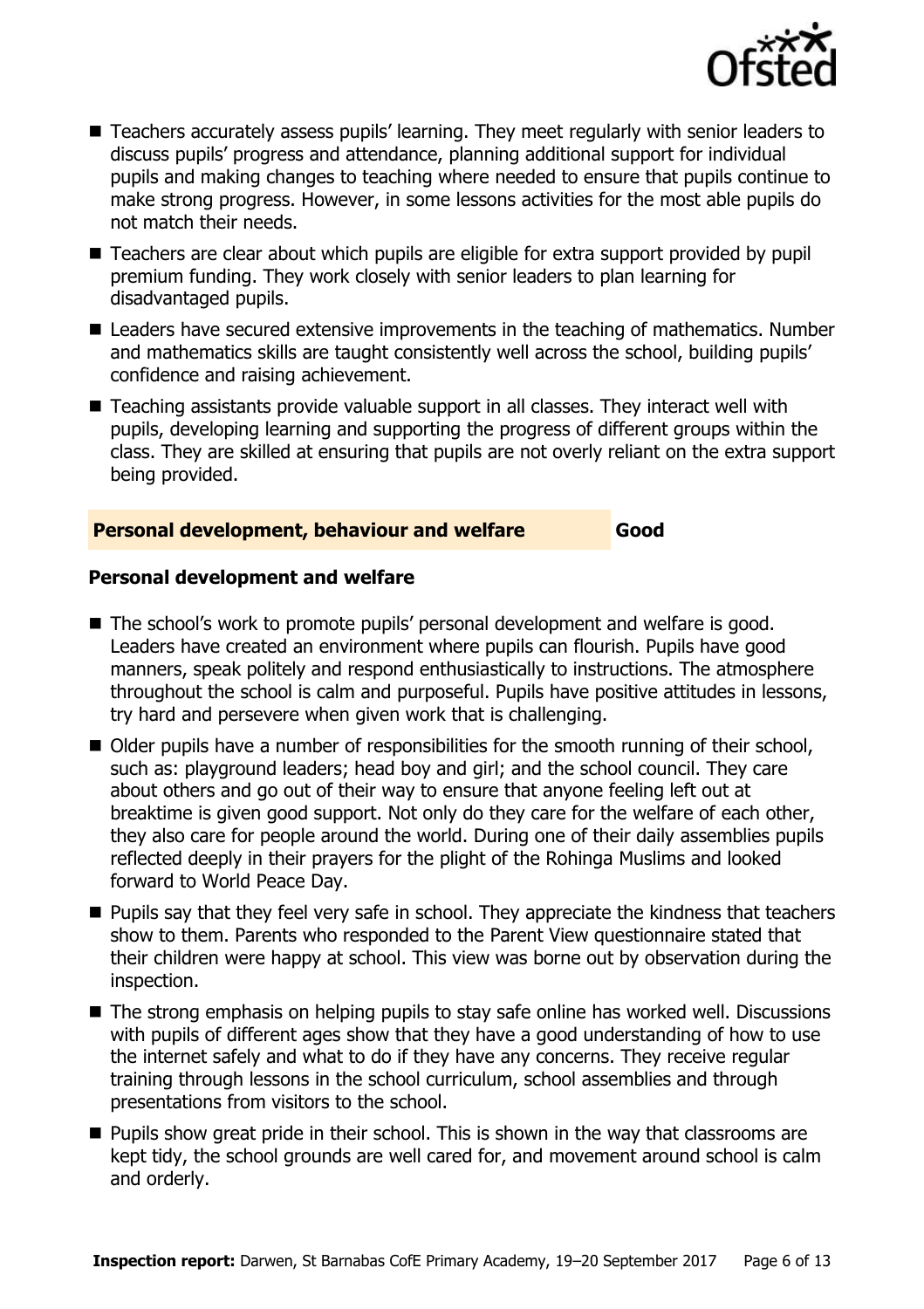

- Teachers accurately assess pupils' learning. They meet regularly with senior leaders to discuss pupils' progress and attendance, planning additional support for individual pupils and making changes to teaching where needed to ensure that pupils continue to make strong progress. However, in some lessons activities for the most able pupils do not match their needs.
- Teachers are clear about which pupils are eligible for extra support provided by pupil premium funding. They work closely with senior leaders to plan learning for disadvantaged pupils.
- Leaders have secured extensive improvements in the teaching of mathematics. Number and mathematics skills are taught consistently well across the school, building pupils' confidence and raising achievement.
- Teaching assistants provide valuable support in all classes. They interact well with pupils, developing learning and supporting the progress of different groups within the class. They are skilled at ensuring that pupils are not overly reliant on the extra support being provided.

#### **Personal development, behaviour and welfare Good**

#### **Personal development and welfare**

- The school's work to promote pupils' personal development and welfare is good. Leaders have created an environment where pupils can flourish. Pupils have good manners, speak politely and respond enthusiastically to instructions. The atmosphere throughout the school is calm and purposeful. Pupils have positive attitudes in lessons, try hard and persevere when given work that is challenging.
- Older pupils have a number of responsibilities for the smooth running of their school, such as: playground leaders; head boy and girl; and the school council. They care about others and go out of their way to ensure that anyone feeling left out at breaktime is given good support. Not only do they care for the welfare of each other, they also care for people around the world. During one of their daily assemblies pupils reflected deeply in their prayers for the plight of the Rohinga Muslims and looked forward to World Peace Day.
- **Pupils say that they feel very safe in school. They appreciate the kindness that teachers** show to them. Parents who responded to the Parent View questionnaire stated that their children were happy at school. This view was borne out by observation during the inspection.
- The strong emphasis on helping pupils to stay safe online has worked well. Discussions with pupils of different ages show that they have a good understanding of how to use the internet safely and what to do if they have any concerns. They receive regular training through lessons in the school curriculum, school assemblies and through presentations from visitors to the school.
- **Pupils show great pride in their school. This is shown in the way that classrooms are** kept tidy, the school grounds are well cared for, and movement around school is calm and orderly.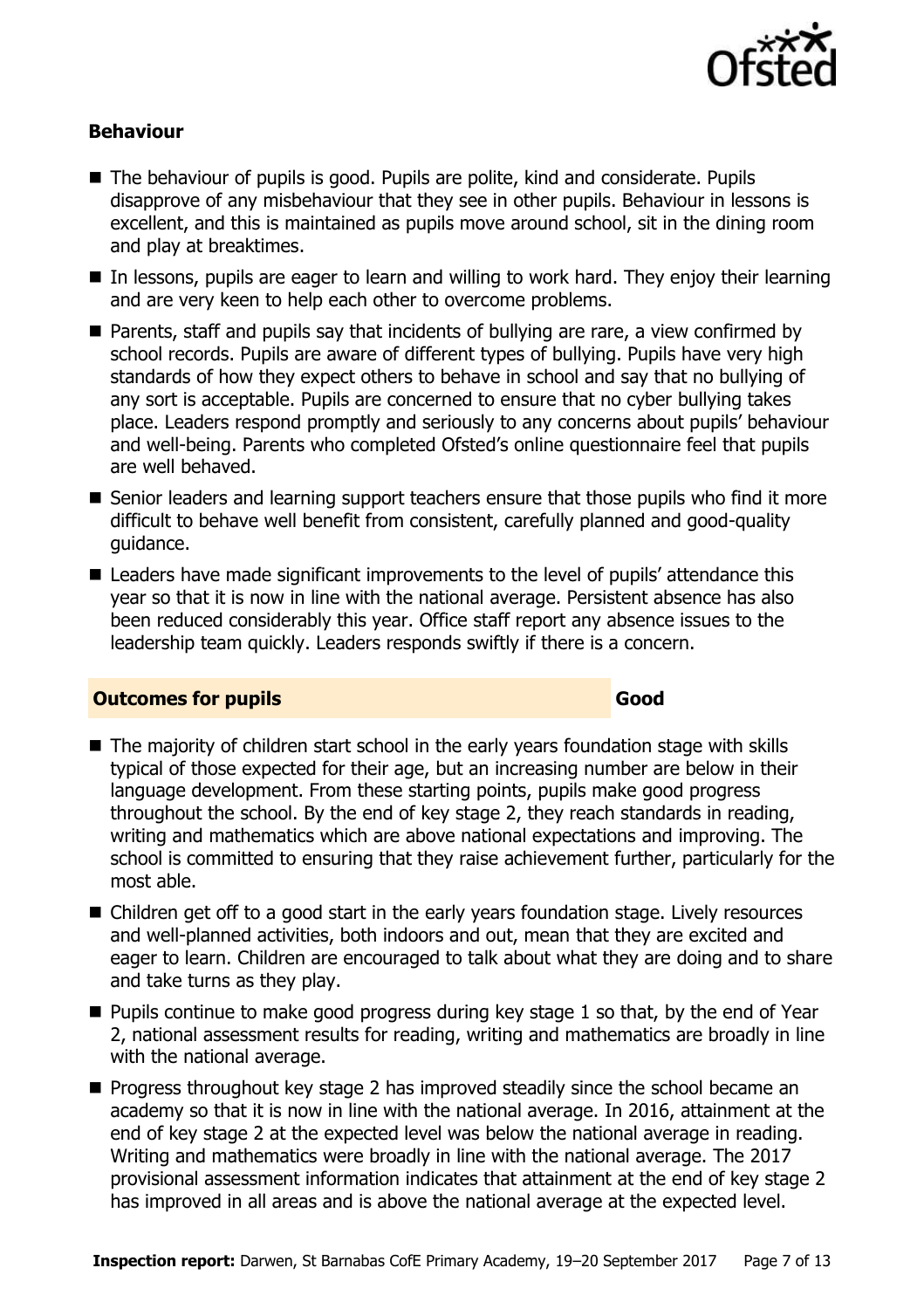

#### **Behaviour**

- The behaviour of pupils is good. Pupils are polite, kind and considerate. Pupils disapprove of any misbehaviour that they see in other pupils. Behaviour in lessons is excellent, and this is maintained as pupils move around school, sit in the dining room and play at breaktimes.
- In lessons, pupils are eager to learn and willing to work hard. They enjoy their learning and are very keen to help each other to overcome problems.
- Parents, staff and pupils say that incidents of bullying are rare, a view confirmed by school records. Pupils are aware of different types of bullying. Pupils have very high standards of how they expect others to behave in school and say that no bullying of any sort is acceptable. Pupils are concerned to ensure that no cyber bullying takes place. Leaders respond promptly and seriously to any concerns about pupils' behaviour and well-being. Parents who completed Ofsted's online questionnaire feel that pupils are well behaved.
- Senior leaders and learning support teachers ensure that those pupils who find it more difficult to behave well benefit from consistent, carefully planned and good-quality guidance.
- Leaders have made significant improvements to the level of pupils' attendance this year so that it is now in line with the national average. Persistent absence has also been reduced considerably this year. Office staff report any absence issues to the leadership team quickly. Leaders responds swiftly if there is a concern.

#### **Outcomes for pupils Good**

- The majority of children start school in the early years foundation stage with skills typical of those expected for their age, but an increasing number are below in their language development. From these starting points, pupils make good progress throughout the school. By the end of key stage 2, they reach standards in reading, writing and mathematics which are above national expectations and improving. The school is committed to ensuring that they raise achievement further, particularly for the most able.
- Children get off to a good start in the early years foundation stage. Lively resources and well-planned activities, both indoors and out, mean that they are excited and eager to learn. Children are encouraged to talk about what they are doing and to share and take turns as they play.
- $\blacksquare$  Pupils continue to make good progress during key stage 1 so that, by the end of Year 2, national assessment results for reading, writing and mathematics are broadly in line with the national average.
- **Progress throughout key stage 2 has improved steadily since the school became an** academy so that it is now in line with the national average. In 2016, attainment at the end of key stage 2 at the expected level was below the national average in reading. Writing and mathematics were broadly in line with the national average. The 2017 provisional assessment information indicates that attainment at the end of key stage 2 has improved in all areas and is above the national average at the expected level.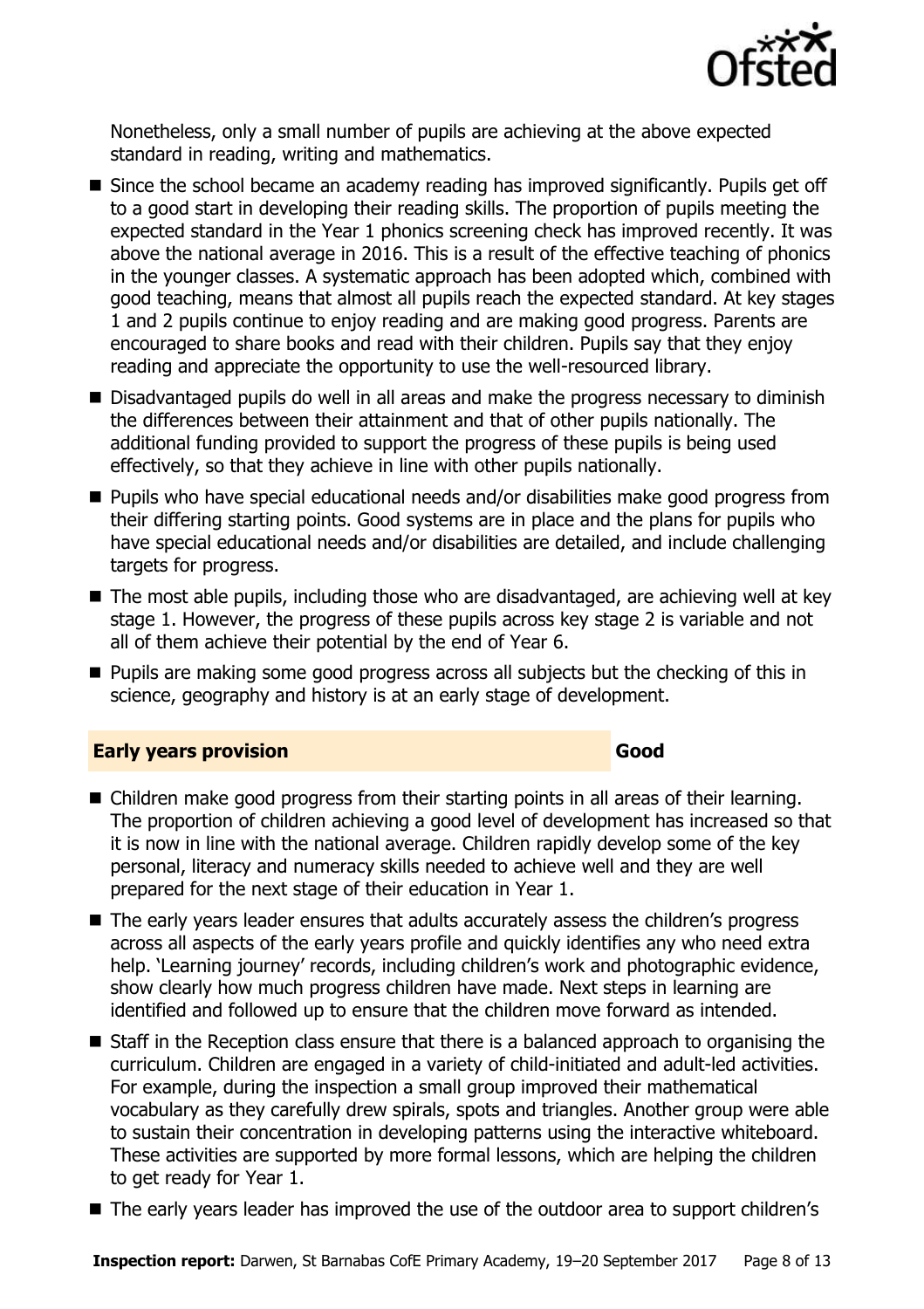

Nonetheless, only a small number of pupils are achieving at the above expected standard in reading, writing and mathematics.

- Since the school became an academy reading has improved significantly. Pupils get off to a good start in developing their reading skills. The proportion of pupils meeting the expected standard in the Year 1 phonics screening check has improved recently. It was above the national average in 2016. This is a result of the effective teaching of phonics in the younger classes. A systematic approach has been adopted which, combined with good teaching, means that almost all pupils reach the expected standard. At key stages 1 and 2 pupils continue to enjoy reading and are making good progress. Parents are encouraged to share books and read with their children. Pupils say that they enjoy reading and appreciate the opportunity to use the well-resourced library.
- Disadvantaged pupils do well in all areas and make the progress necessary to diminish the differences between their attainment and that of other pupils nationally. The additional funding provided to support the progress of these pupils is being used effectively, so that they achieve in line with other pupils nationally.
- Pupils who have special educational needs and/or disabilities make good progress from their differing starting points. Good systems are in place and the plans for pupils who have special educational needs and/or disabilities are detailed, and include challenging targets for progress.
- The most able pupils, including those who are disadvantaged, are achieving well at key stage 1. However, the progress of these pupils across key stage 2 is variable and not all of them achieve their potential by the end of Year 6.
- **Pupils are making some good progress across all subjects but the checking of this in** science, geography and history is at an early stage of development.

#### **Early years provision Good Good**

- Children make good progress from their starting points in all areas of their learning. The proportion of children achieving a good level of development has increased so that it is now in line with the national average. Children rapidly develop some of the key personal, literacy and numeracy skills needed to achieve well and they are well prepared for the next stage of their education in Year 1.
- The early years leader ensures that adults accurately assess the children's progress across all aspects of the early years profile and quickly identifies any who need extra help. 'Learning journey' records, including children's work and photographic evidence, show clearly how much progress children have made. Next steps in learning are identified and followed up to ensure that the children move forward as intended.
- Staff in the Reception class ensure that there is a balanced approach to organising the curriculum. Children are engaged in a variety of child-initiated and adult-led activities. For example, during the inspection a small group improved their mathematical vocabulary as they carefully drew spirals, spots and triangles. Another group were able to sustain their concentration in developing patterns using the interactive whiteboard. These activities are supported by more formal lessons, which are helping the children to get ready for Year 1.
- The early years leader has improved the use of the outdoor area to support children's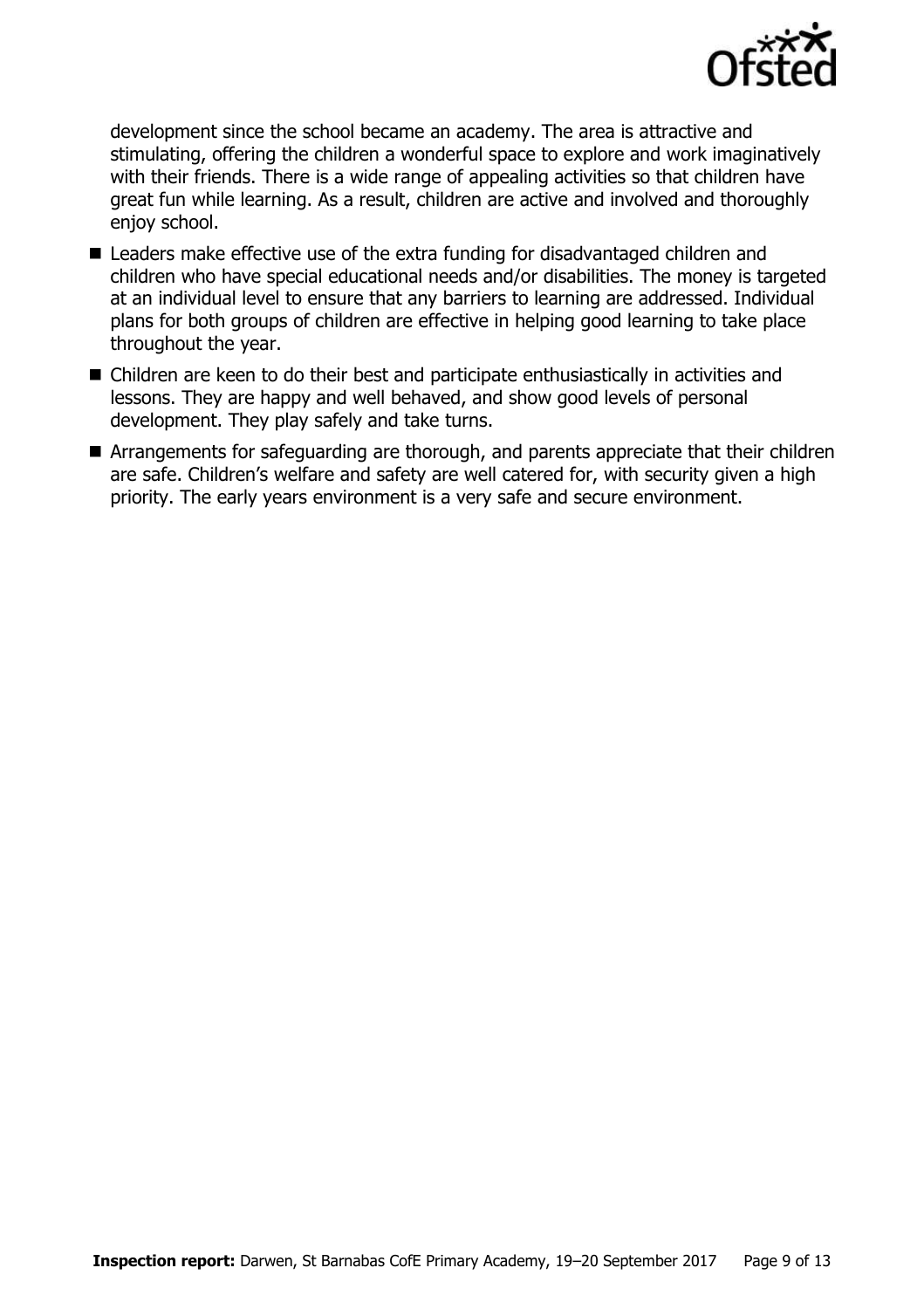

development since the school became an academy. The area is attractive and stimulating, offering the children a wonderful space to explore and work imaginatively with their friends. There is a wide range of appealing activities so that children have great fun while learning. As a result, children are active and involved and thoroughly enjov school.

- Leaders make effective use of the extra funding for disadvantaged children and children who have special educational needs and/or disabilities. The money is targeted at an individual level to ensure that any barriers to learning are addressed. Individual plans for both groups of children are effective in helping good learning to take place throughout the year.
- Children are keen to do their best and participate enthusiastically in activities and lessons. They are happy and well behaved, and show good levels of personal development. They play safely and take turns.
- Arrangements for safeguarding are thorough, and parents appreciate that their children are safe. Children's welfare and safety are well catered for, with security given a high priority. The early years environment is a very safe and secure environment.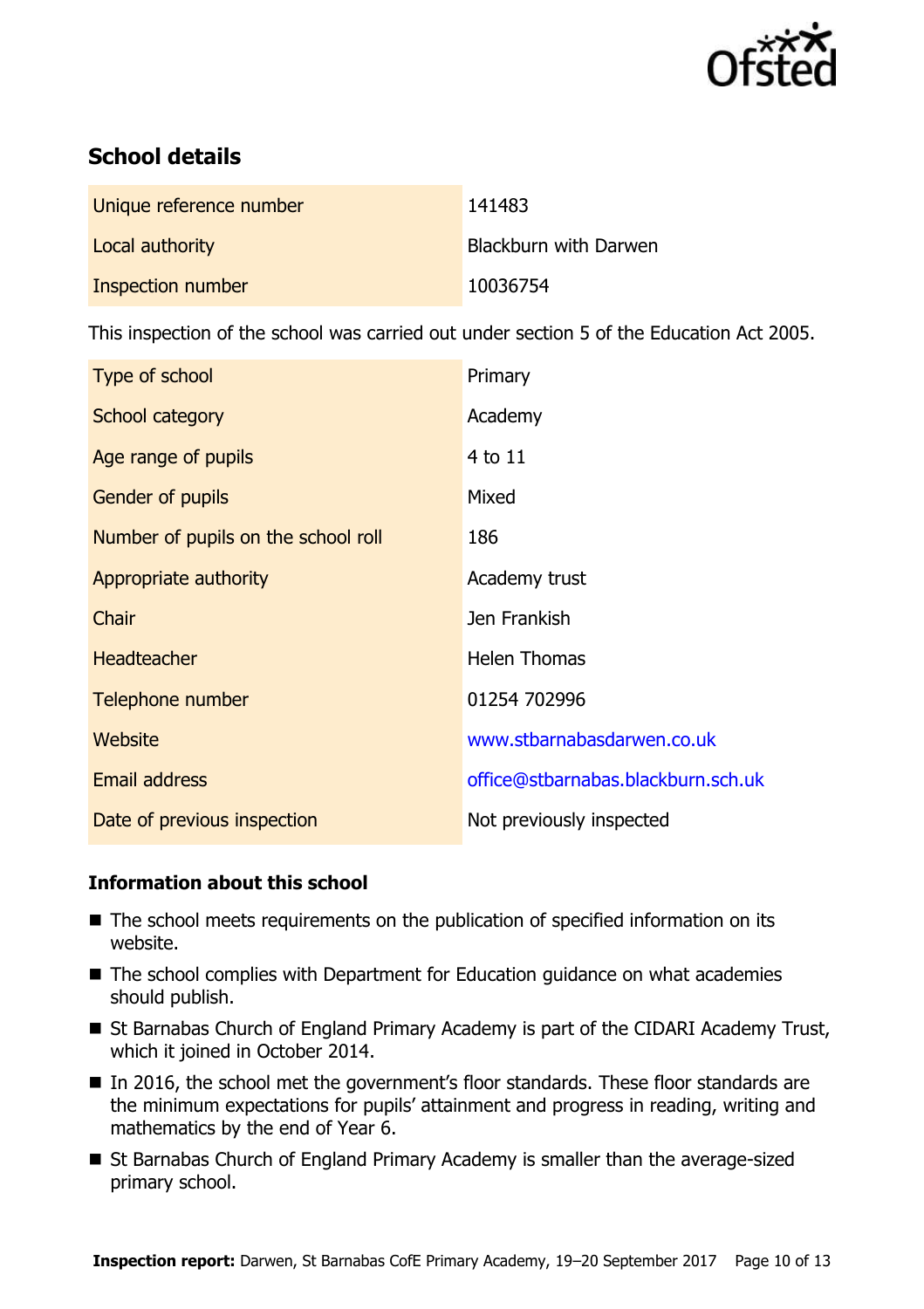

# **School details**

| Unique reference number | 141483                |
|-------------------------|-----------------------|
| Local authority         | Blackburn with Darwen |
| Inspection number       | 10036754              |

This inspection of the school was carried out under section 5 of the Education Act 2005.

| Type of school                      | Primary                            |
|-------------------------------------|------------------------------------|
| School category                     | Academy                            |
| Age range of pupils                 | 4 to 11                            |
| <b>Gender of pupils</b>             | Mixed                              |
| Number of pupils on the school roll | 186                                |
| Appropriate authority               | Academy trust                      |
| Chair                               | Jen Frankish                       |
| <b>Headteacher</b>                  | <b>Helen Thomas</b>                |
| Telephone number                    | 01254 702996                       |
| Website                             | www.stbarnabasdarwen.co.uk         |
| <b>Email address</b>                | office@stbarnabas.blackburn.sch.uk |
| Date of previous inspection         | Not previously inspected           |

### **Information about this school**

- The school meets requirements on the publication of specified information on its website.
- The school complies with Department for Education guidance on what academies should publish.
- St Barnabas Church of England Primary Academy is part of the CIDARI Academy Trust, which it joined in October 2014.
- In 2016, the school met the government's floor standards. These floor standards are the minimum expectations for pupils' attainment and progress in reading, writing and mathematics by the end of Year 6.
- St Barnabas Church of England Primary Academy is smaller than the average-sized primary school.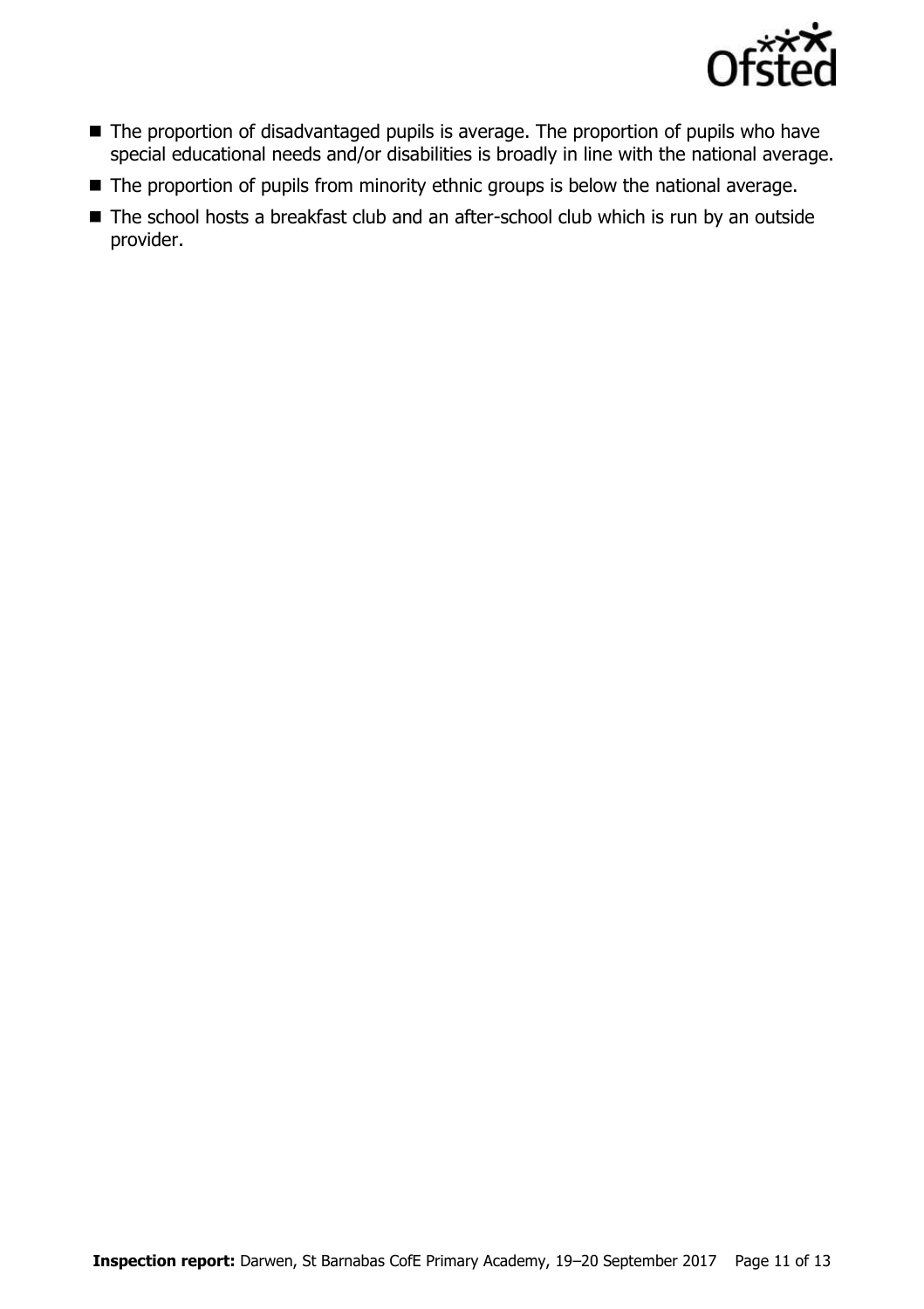

- The proportion of disadvantaged pupils is average. The proportion of pupils who have special educational needs and/or disabilities is broadly in line with the national average.
- The proportion of pupils from minority ethnic groups is below the national average.
- The school hosts a breakfast club and an after-school club which is run by an outside provider.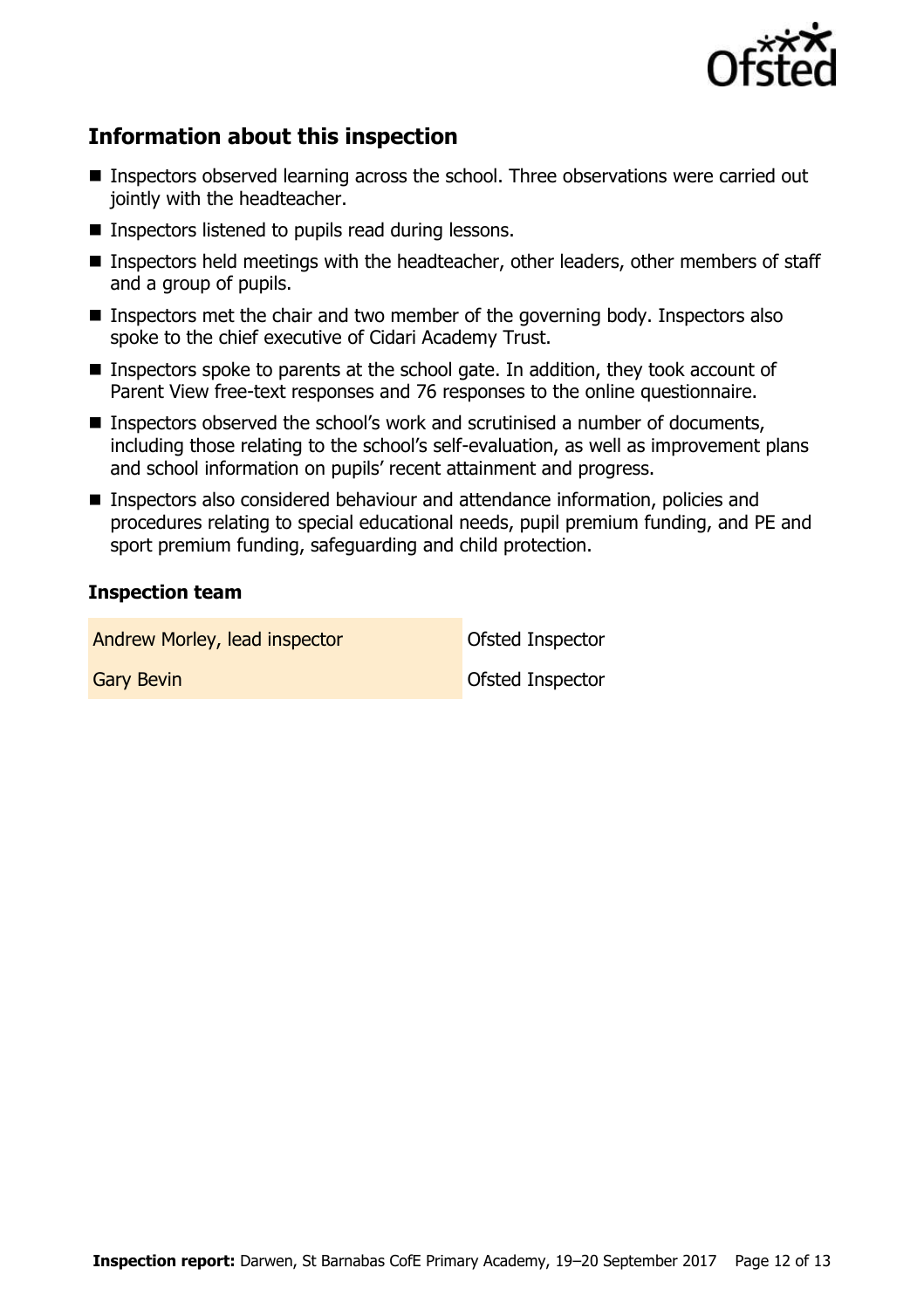

# **Information about this inspection**

- Inspectors observed learning across the school. Three observations were carried out jointly with the headteacher.
- Inspectors listened to pupils read during lessons.
- Inspectors held meetings with the headteacher, other leaders, other members of staff and a group of pupils.
- Inspectors met the chair and two member of the governing body. Inspectors also spoke to the chief executive of Cidari Academy Trust.
- Inspectors spoke to parents at the school gate. In addition, they took account of Parent View free-text responses and 76 responses to the online questionnaire.
- Inspectors observed the school's work and scrutinised a number of documents, including those relating to the school's self-evaluation, as well as improvement plans and school information on pupils' recent attainment and progress.
- Inspectors also considered behaviour and attendance information, policies and procedures relating to special educational needs, pupil premium funding, and PE and sport premium funding, safeguarding and child protection.

#### **Inspection team**

| Andrew Morley, lead inspector | Ofsted Inspector |
|-------------------------------|------------------|
| <b>Gary Bevin</b>             | Ofsted Inspector |